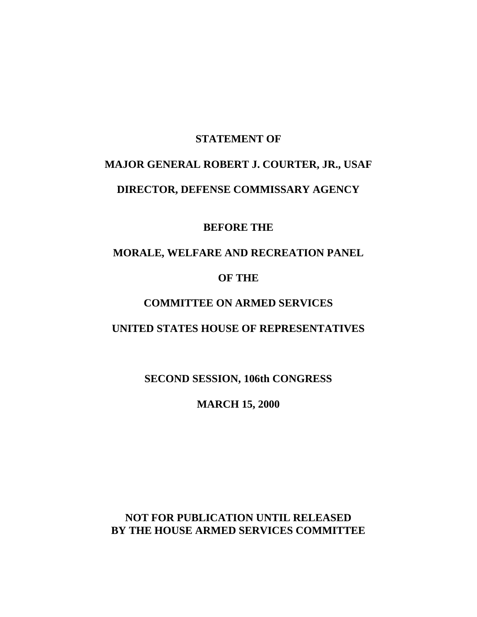#### **STATEMENT OF**

# **MAJOR GENERAL ROBERT J. COURTER, JR., USAF DIRECTOR, DEFENSE COMMISSARY AGENCY**

**BEFORE THE**

### **MORALE, WELFARE AND RECREATION PANEL**

#### **OF THE**

## **COMMITTEE ON ARMED SERVICES**

#### **UNITED STATES HOUSE OF REPRESENTATIVES**

**SECOND SESSION, 106th CONGRESS**

**MARCH 15, 2000**

**NOT FOR PUBLICATION UNTIL RELEASED BY THE HOUSE ARMED SERVICES COMMITTEE**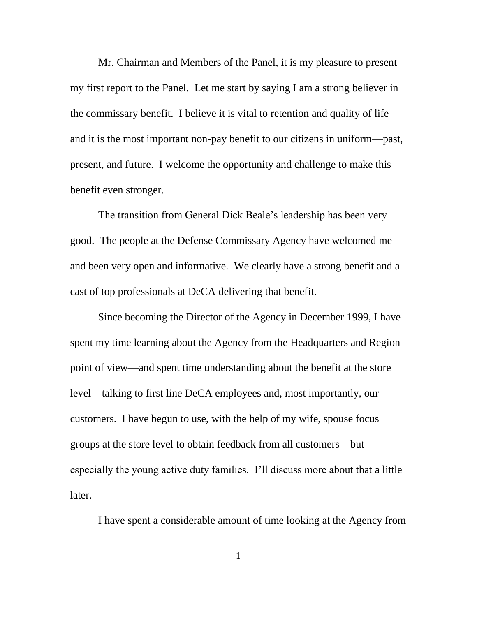Mr. Chairman and Members of the Panel, it is my pleasure to present my first report to the Panel. Let me start by saying I am a strong believer in the commissary benefit. I believe it is vital to retention and quality of life and it is the most important non-pay benefit to our citizens in uniform—past, present, and future. I welcome the opportunity and challenge to make this benefit even stronger.

The transition from General Dick Beale's leadership has been very good. The people at the Defense Commissary Agency have welcomed me and been very open and informative. We clearly have a strong benefit and a cast of top professionals at DeCA delivering that benefit.

Since becoming the Director of the Agency in December 1999, I have spent my time learning about the Agency from the Headquarters and Region point of view—and spent time understanding about the benefit at the store level—talking to first line DeCA employees and, most importantly, our customers. I have begun to use, with the help of my wife, spouse focus groups at the store level to obtain feedback from all customers—but especially the young active duty families. I'll discuss more about that a little later.

I have spent a considerable amount of time looking at the Agency from

1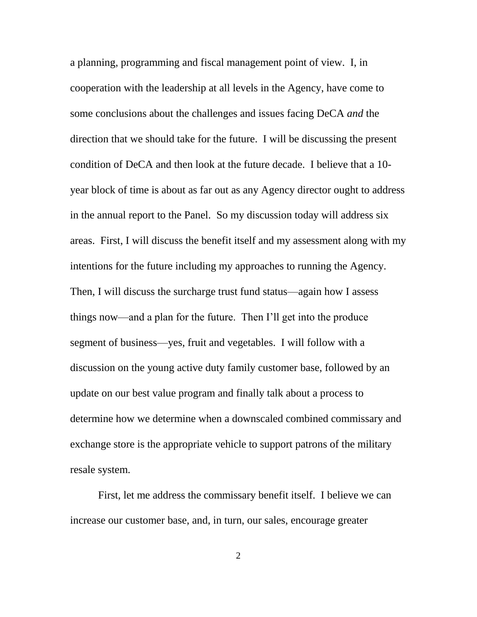a planning, programming and fiscal management point of view. I, in cooperation with the leadership at all levels in the Agency, have come to some conclusions about the challenges and issues facing DeCA *and* the direction that we should take for the future. I will be discussing the present condition of DeCA and then look at the future decade. I believe that a 10 year block of time is about as far out as any Agency director ought to address in the annual report to the Panel. So my discussion today will address six areas. First, I will discuss the benefit itself and my assessment along with my intentions for the future including my approaches to running the Agency. Then, I will discuss the surcharge trust fund status—again how I assess things now—and a plan for the future. Then I'll get into the produce segment of business—yes, fruit and vegetables. I will follow with a discussion on the young active duty family customer base, followed by an update on our best value program and finally talk about a process to determine how we determine when a downscaled combined commissary and exchange store is the appropriate vehicle to support patrons of the military resale system.

First, let me address the commissary benefit itself. I believe we can increase our customer base, and, in turn, our sales, encourage greater

2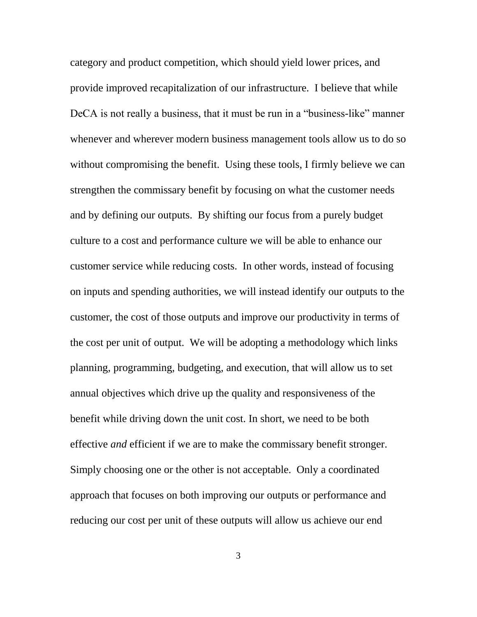category and product competition, which should yield lower prices, and provide improved recapitalization of our infrastructure. I believe that while DeCA is not really a business, that it must be run in a "business-like" manner whenever and wherever modern business management tools allow us to do so without compromising the benefit. Using these tools, I firmly believe we can strengthen the commissary benefit by focusing on what the customer needs and by defining our outputs. By shifting our focus from a purely budget culture to a cost and performance culture we will be able to enhance our customer service while reducing costs. In other words, instead of focusing on inputs and spending authorities, we will instead identify our outputs to the customer, the cost of those outputs and improve our productivity in terms of the cost per unit of output. We will be adopting a methodology which links planning, programming, budgeting, and execution, that will allow us to set annual objectives which drive up the quality and responsiveness of the benefit while driving down the unit cost. In short, we need to be both effective *and* efficient if we are to make the commissary benefit stronger. Simply choosing one or the other is not acceptable. Only a coordinated approach that focuses on both improving our outputs or performance and reducing our cost per unit of these outputs will allow us achieve our end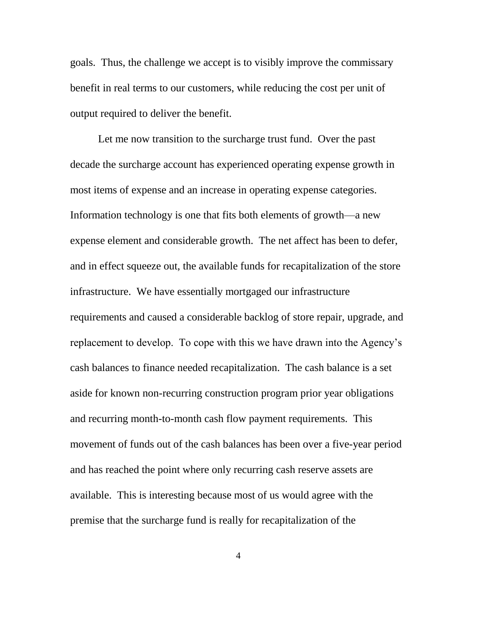goals. Thus, the challenge we accept is to visibly improve the commissary benefit in real terms to our customers, while reducing the cost per unit of output required to deliver the benefit.

Let me now transition to the surcharge trust fund. Over the past decade the surcharge account has experienced operating expense growth in most items of expense and an increase in operating expense categories. Information technology is one that fits both elements of growth—a new expense element and considerable growth. The net affect has been to defer, and in effect squeeze out, the available funds for recapitalization of the store infrastructure. We have essentially mortgaged our infrastructure requirements and caused a considerable backlog of store repair, upgrade, and replacement to develop. To cope with this we have drawn into the Agency's cash balances to finance needed recapitalization. The cash balance is a set aside for known non-recurring construction program prior year obligations and recurring month-to-month cash flow payment requirements. This movement of funds out of the cash balances has been over a five-year period and has reached the point where only recurring cash reserve assets are available. This is interesting because most of us would agree with the premise that the surcharge fund is really for recapitalization of the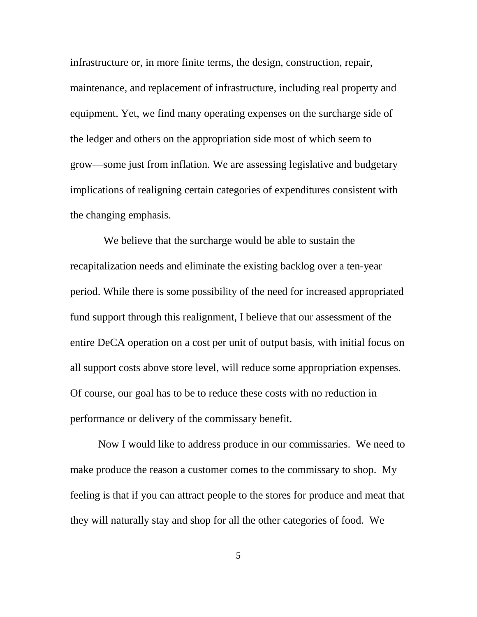infrastructure or, in more finite terms, the design, construction, repair, maintenance, and replacement of infrastructure, including real property and equipment. Yet, we find many operating expenses on the surcharge side of the ledger and others on the appropriation side most of which seem to grow—some just from inflation. We are assessing legislative and budgetary implications of realigning certain categories of expenditures consistent with the changing emphasis.

 We believe that the surcharge would be able to sustain the recapitalization needs and eliminate the existing backlog over a ten-year period. While there is some possibility of the need for increased appropriated fund support through this realignment, I believe that our assessment of the entire DeCA operation on a cost per unit of output basis, with initial focus on all support costs above store level, will reduce some appropriation expenses. Of course, our goal has to be to reduce these costs with no reduction in performance or delivery of the commissary benefit.

Now I would like to address produce in our commissaries. We need to make produce the reason a customer comes to the commissary to shop. My feeling is that if you can attract people to the stores for produce and meat that they will naturally stay and shop for all the other categories of food. We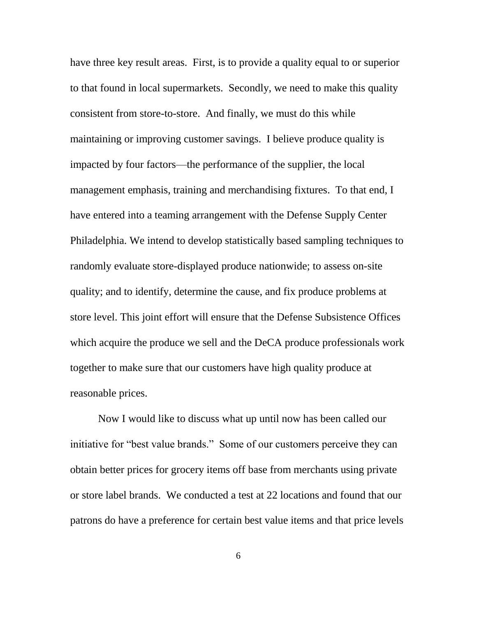have three key result areas. First, is to provide a quality equal to or superior to that found in local supermarkets. Secondly, we need to make this quality consistent from store-to-store. And finally, we must do this while maintaining or improving customer savings. I believe produce quality is impacted by four factors—the performance of the supplier, the local management emphasis, training and merchandising fixtures. To that end, I have entered into a teaming arrangement with the Defense Supply Center Philadelphia. We intend to develop statistically based sampling techniques to randomly evaluate store-displayed produce nationwide; to assess on-site quality; and to identify, determine the cause, and fix produce problems at store level. This joint effort will ensure that the Defense Subsistence Offices which acquire the produce we sell and the DeCA produce professionals work together to make sure that our customers have high quality produce at reasonable prices.

Now I would like to discuss what up until now has been called our initiative for "best value brands." Some of our customers perceive they can obtain better prices for grocery items off base from merchants using private or store label brands. We conducted a test at 22 locations and found that our patrons do have a preference for certain best value items and that price levels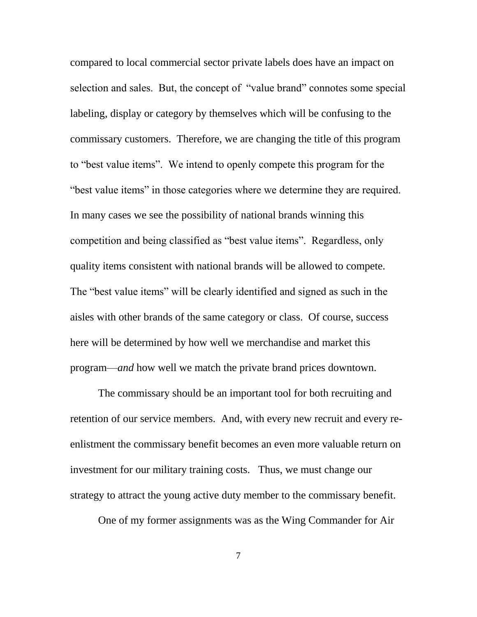compared to local commercial sector private labels does have an impact on selection and sales. But, the concept of "value brand" connotes some special labeling, display or category by themselves which will be confusing to the commissary customers. Therefore, we are changing the title of this program to "best value items". We intend to openly compete this program for the "best value items" in those categories where we determine they are required. In many cases we see the possibility of national brands winning this competition and being classified as "best value items". Regardless, only quality items consistent with national brands will be allowed to compete. The "best value items" will be clearly identified and signed as such in the aisles with other brands of the same category or class. Of course, success here will be determined by how well we merchandise and market this program—*and* how well we match the private brand prices downtown.

The commissary should be an important tool for both recruiting and retention of our service members. And, with every new recruit and every reenlistment the commissary benefit becomes an even more valuable return on investment for our military training costs. Thus, we must change our strategy to attract the young active duty member to the commissary benefit.

One of my former assignments was as the Wing Commander for Air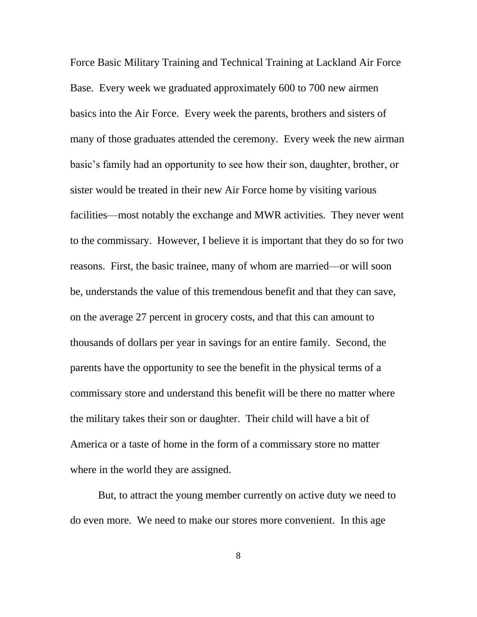Force Basic Military Training and Technical Training at Lackland Air Force Base. Every week we graduated approximately 600 to 700 new airmen basics into the Air Force. Every week the parents, brothers and sisters of many of those graduates attended the ceremony. Every week the new airman basic's family had an opportunity to see how their son, daughter, brother, or sister would be treated in their new Air Force home by visiting various facilities—most notably the exchange and MWR activities. They never went to the commissary. However, I believe it is important that they do so for two reasons. First, the basic trainee, many of whom are married—or will soon be, understands the value of this tremendous benefit and that they can save, on the average 27 percent in grocery costs, and that this can amount to thousands of dollars per year in savings for an entire family. Second, the parents have the opportunity to see the benefit in the physical terms of a commissary store and understand this benefit will be there no matter where the military takes their son or daughter. Their child will have a bit of America or a taste of home in the form of a commissary store no matter where in the world they are assigned.

But, to attract the young member currently on active duty we need to do even more. We need to make our stores more convenient. In this age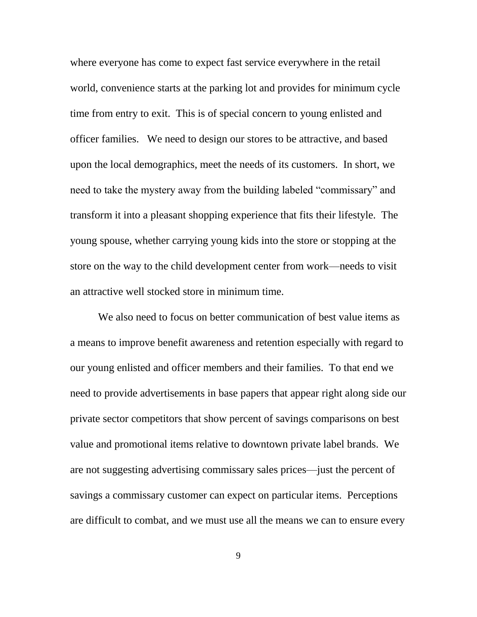where everyone has come to expect fast service everywhere in the retail world, convenience starts at the parking lot and provides for minimum cycle time from entry to exit. This is of special concern to young enlisted and officer families. We need to design our stores to be attractive, and based upon the local demographics, meet the needs of its customers. In short, we need to take the mystery away from the building labeled "commissary" and transform it into a pleasant shopping experience that fits their lifestyle. The young spouse, whether carrying young kids into the store or stopping at the store on the way to the child development center from work—needs to visit an attractive well stocked store in minimum time.

We also need to focus on better communication of best value items as a means to improve benefit awareness and retention especially with regard to our young enlisted and officer members and their families. To that end we need to provide advertisements in base papers that appear right along side our private sector competitors that show percent of savings comparisons on best value and promotional items relative to downtown private label brands. We are not suggesting advertising commissary sales prices—just the percent of savings a commissary customer can expect on particular items. Perceptions are difficult to combat, and we must use all the means we can to ensure every

9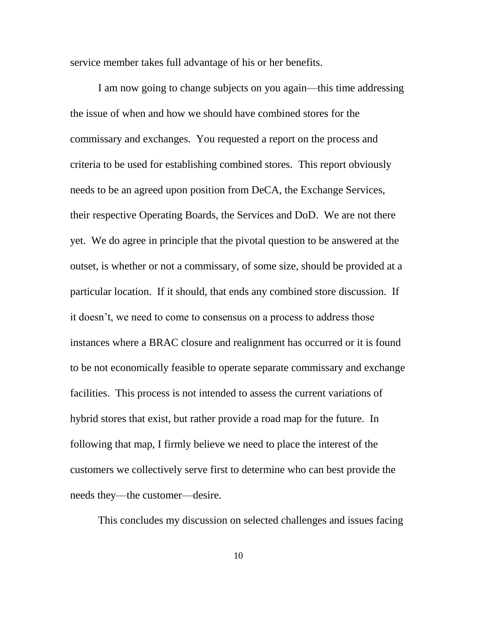service member takes full advantage of his or her benefits.

I am now going to change subjects on you again—this time addressing the issue of when and how we should have combined stores for the commissary and exchanges. You requested a report on the process and criteria to be used for establishing combined stores. This report obviously needs to be an agreed upon position from DeCA, the Exchange Services, their respective Operating Boards, the Services and DoD. We are not there yet. We do agree in principle that the pivotal question to be answered at the outset, is whether or not a commissary, of some size, should be provided at a particular location. If it should, that ends any combined store discussion. If it doesn't, we need to come to consensus on a process to address those instances where a BRAC closure and realignment has occurred or it is found to be not economically feasible to operate separate commissary and exchange facilities. This process is not intended to assess the current variations of hybrid stores that exist, but rather provide a road map for the future. In following that map, I firmly believe we need to place the interest of the customers we collectively serve first to determine who can best provide the needs they—the customer—desire.

This concludes my discussion on selected challenges and issues facing